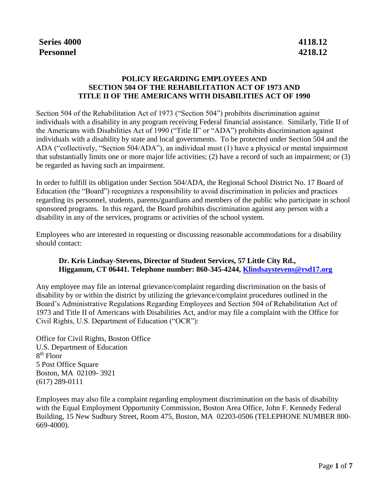## **POLICY REGARDING EMPLOYEES AND SECTION 504 OF THE REHABILITATION ACT OF 1973 AND TITLE II OF THE AMERICANS WITH DISABILITIES ACT OF 1990**

Section 504 of the Rehabilitation Act of 1973 ("Section 504") prohibits discrimination against individuals with a disability in any program receiving Federal financial assistance. Similarly, Title II of the Americans with Disabilities Act of 1990 ("Title II" or "ADA") prohibits discrimination against individuals with a disability by state and local governments. To be protected under Section 504 and the ADA ("collectively, "Section 504/ADA"), an individual must (1) have a physical or mental impairment that substantially limits one or more major life activities; (2) have a record of such an impairment; or (3) be regarded as having such an impairment.

In order to fulfill its obligation under Section 504/ADA, the Regional School District No. 17 Board of Education (the "Board") recognizes a responsibility to avoid discrimination in policies and practices regarding its personnel, students, parents/guardians and members of the public who participate in school sponsored programs. In this regard, the Board prohibits discrimination against any person with a disability in any of the services, programs or activities of the school system.

Employees who are interested in requesting or discussing reasonable accommodations for a disability should contact:

#### **Dr. Kris Lindsay-Stevens, Director of Student Services, 57 Little City Rd., Higganum, CT 06441. Telephone number: 860-345-4244, [Klindsaystevens@rsd17.org](mailto:Klindsaystevens@rsd17.org)**

Any employee may file an internal grievance/complaint regarding discrimination on the basis of disability by or within the district by utilizing the grievance/complaint procedures outlined in the Board's Administrative Regulations Regarding Employees and Section 504 of Rehabilitation Act of 1973 and Title II of Americans with Disabilities Act, and/or may file a complaint with the Office for Civil Rights, U.S. Department of Education ("OCR"):

Office for Civil Rights, Boston Office U.S. Department of Education 8 th Floor 5 Post Office Square Boston, MA 02109- 3921 (617) 289-0111

Employees may also file a complaint regarding employment discrimination on the basis of disability with the Equal Employment Opportunity Commission, Boston Area Office, John F. Kennedy Federal Building, 15 New Sudbury Street, Room 475, Boston, MA 02203-0506 (TELEPHONE NUMBER 800- 669-4000).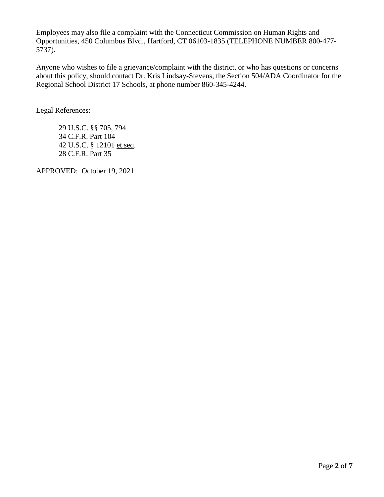Employees may also file a complaint with the Connecticut Commission on Human Rights and Opportunities, 450 Columbus Blvd., Hartford, CT 06103-1835 (TELEPHONE NUMBER 800-477- 5737).

Anyone who wishes to file a grievance/complaint with the district, or who has questions or concerns about this policy, should contact Dr. Kris Lindsay-Stevens, the Section 504/ADA Coordinator for the Regional School District 17 Schools, at phone number 860-345-4244.

Legal References:

29 U.S.C. §§ 705, 794 34 C.F.R. Part 104 42 U.S.C. § 12101 et seq. 28 C.F.R. Part 35

APPROVED: October 19, 2021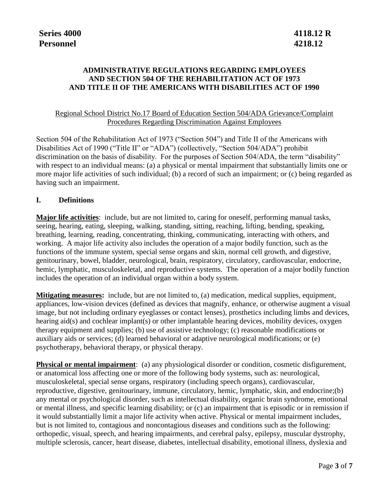# **ADMINISTRATIVE REGULATIONS REGARDING EMPLOYEES AND SECTION 504 OF THE REHABILITATION ACT OF 1973 AND TITLE II OF THE AMERICANS WITH DISABILITIES ACT OF 1990**

#### Regional School District No.17 Board of Education Section 504/ADA Grievance/Complaint Procedures Regarding Discrimination Against Employees

Section 504 of the Rehabilitation Act of 1973 ("Section 504") and Title II of the Americans with Disabilities Act of 1990 ("Title II" or "ADA") (collectively, "Section 504/ADA") prohibit discrimination on the basis of disability. For the purposes of Section 504/ADA, the term "disability" with respect to an individual means: (a) a physical or mental impairment that substantially limits one or more major life activities of such individual; (b) a record of such an impairment; or (c) being regarded as having such an impairment.

## **I. Definitions**

**Major life activities**: include, but are not limited to, caring for oneself, performing manual tasks, seeing, hearing, eating, sleeping, walking, standing, sitting, reaching, lifting, bending, speaking, breathing, learning, reading, concentrating, thinking, communicating, interacting with others, and working. A major life activity also includes the operation of a major bodily function, such as the functions of the immune system, special sense organs and skin, normal cell growth, and digestive, genitourinary, bowel, bladder, neurological, brain, respiratory, circulatory, cardiovascular, endocrine, hemic, lymphatic, musculoskeletal, and reproductive systems. The operation of a major bodily function includes the operation of an individual organ within a body system.

**Mitigating measures:** include, but are not limited to, (a) medication, medical supplies, equipment, appliances, low-vision devices (defined as devices that magnify, enhance, or otherwise augment a visual image, but not including ordinary eyeglasses or contact lenses), prosthetics including limbs and devices, hearing aid(s) and cochlear implant(s) or other implantable hearing devices, mobility devices, oxygen therapy equipment and supplies; (b) use of assistive technology; (c) reasonable modifications or auxiliary aids or services; (d) learned behavioral or adaptive neurological modifications; or (e) psychotherapy, behavioral therapy, or physical therapy.

**Physical or mental impairment**: (a) any physiological disorder or condition, cosmetic disfigurement, or anatomical loss affecting one or more of the following body systems, such as: neurological, musculoskeletal, special sense organs, respiratory (including speech organs), cardiovascular, reproductive, digestive, genitourinary, immune, circulatory, hemic, lymphatic, skin, and endocrine;(b) any mental or psychological disorder, such as intellectual disability, organic brain syndrome, emotional or mental illness, and specific learning disability; or (c) an impairment that is episodic or in remission if it would substantially limit a major life activity when active. Physical or mental impairment includes, but is not limited to, contagious and noncontagious diseases and conditions such as the following: orthopedic, visual, speech, and hearing impairments, and cerebral palsy, epilepsy, muscular dystrophy, multiple sclerosis, cancer, heart disease, diabetes, intellectual disability, emotional illness, dyslexia and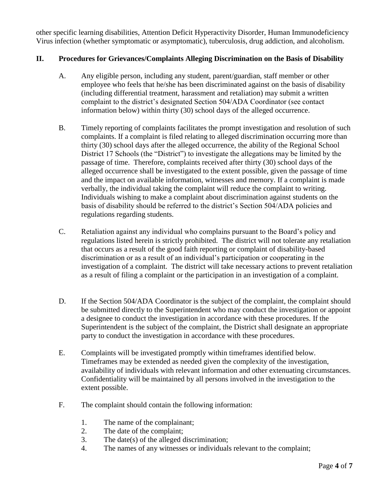other specific learning disabilities, Attention Deficit Hyperactivity Disorder, Human Immunodeficiency Virus infection (whether symptomatic or asymptomatic), tuberculosis, drug addiction, and alcoholism.

# **II. Procedures for Grievances/Complaints Alleging Discrimination on the Basis of Disability**

- A. Any eligible person, including any student, parent/guardian, staff member or other employee who feels that he/she has been discriminated against on the basis of disability (including differential treatment, harassment and retaliation) may submit a written complaint to the district's designated Section 504/ADA Coordinator (see contact information below) within thirty (30) school days of the alleged occurrence.
- B. Timely reporting of complaints facilitates the prompt investigation and resolution of such complaints. If a complaint is filed relating to alleged discrimination occurring more than thirty (30) school days after the alleged occurrence, the ability of the Regional School District 17 Schools (the "District") to investigate the allegations may be limited by the passage of time. Therefore, complaints received after thirty (30) school days of the alleged occurrence shall be investigated to the extent possible, given the passage of time and the impact on available information, witnesses and memory. If a complaint is made verbally, the individual taking the complaint will reduce the complaint to writing. Individuals wishing to make a complaint about discrimination against students on the basis of disability should be referred to the district's Section 504/ADA policies and regulations regarding students.
- C. Retaliation against any individual who complains pursuant to the Board's policy and regulations listed herein is strictly prohibited. The district will not tolerate any retaliation that occurs as a result of the good faith reporting or complaint of disability-based discrimination or as a result of an individual's participation or cooperating in the investigation of a complaint. The district will take necessary actions to prevent retaliation as a result of filing a complaint or the participation in an investigation of a complaint.
- D. If the Section 504/ADA Coordinator is the subject of the complaint, the complaint should be submitted directly to the Superintendent who may conduct the investigation or appoint a designee to conduct the investigation in accordance with these procedures. If the Superintendent is the subject of the complaint, the District shall designate an appropriate party to conduct the investigation in accordance with these procedures.
- E. Complaints will be investigated promptly within timeframes identified below. Timeframes may be extended as needed given the complexity of the investigation, availability of individuals with relevant information and other extenuating circumstances. Confidentiality will be maintained by all persons involved in the investigation to the extent possible.
- F. The complaint should contain the following information:
	- 1. The name of the complainant;
	- 2. The date of the complaint;
	- 3. The date(s) of the alleged discrimination;
	- 4. The names of any witnesses or individuals relevant to the complaint;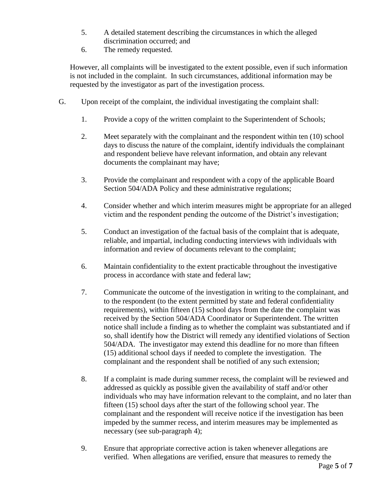- 5. A detailed statement describing the circumstances in which the alleged discrimination occurred; and
- 6. The remedy requested.

However, all complaints will be investigated to the extent possible, even if such information is not included in the complaint. In such circumstances, additional information may be requested by the investigator as part of the investigation process.

- G. Upon receipt of the complaint, the individual investigating the complaint shall:
	- 1. Provide a copy of the written complaint to the Superintendent of Schools;
	- 2. Meet separately with the complainant and the respondent within ten (10) school days to discuss the nature of the complaint, identify individuals the complainant and respondent believe have relevant information, and obtain any relevant documents the complainant may have;
	- 3. Provide the complainant and respondent with a copy of the applicable Board Section 504/ADA Policy and these administrative regulations;
	- 4. Consider whether and which interim measures might be appropriate for an alleged victim and the respondent pending the outcome of the District's investigation;
	- 5. Conduct an investigation of the factual basis of the complaint that is adequate, reliable, and impartial, including conducting interviews with individuals with information and review of documents relevant to the complaint;
	- 6. Maintain confidentiality to the extent practicable throughout the investigative process in accordance with state and federal law;
	- 7. Communicate the outcome of the investigation in writing to the complainant, and to the respondent (to the extent permitted by state and federal confidentiality requirements), within fifteen (15) school days from the date the complaint was received by the Section 504/ADA Coordinator or Superintendent. The written notice shall include a finding as to whether the complaint was substantiated and if so, shall identify how the District will remedy any identified violations of Section 504/ADA. The investigator may extend this deadline for no more than fifteen (15) additional school days if needed to complete the investigation. The complainant and the respondent shall be notified of any such extension;
	- 8. If a complaint is made during summer recess, the complaint will be reviewed and addressed as quickly as possible given the availability of staff and/or other individuals who may have information relevant to the complaint, and no later than fifteen (15) school days after the start of the following school year. The complainant and the respondent will receive notice if the investigation has been impeded by the summer recess, and interim measures may be implemented as necessary (see sub-paragraph 4);
	- 9. Ensure that appropriate corrective action is taken whenever allegations are verified. When allegations are verified, ensure that measures to remedy the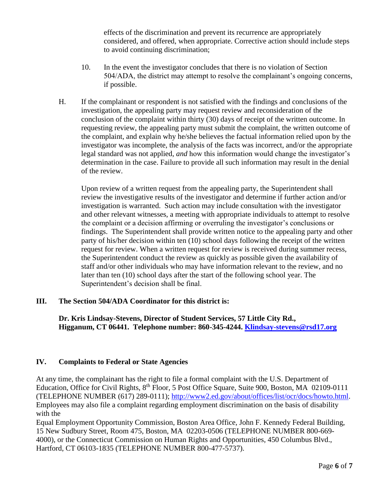effects of the discrimination and prevent its recurrence are appropriately considered, and offered, when appropriate. Corrective action should include steps to avoid continuing discrimination;

- 10. In the event the investigator concludes that there is no violation of Section 504/ADA, the district may attempt to resolve the complainant's ongoing concerns, if possible.
- H. If the complainant or respondent is not satisfied with the findings and conclusions of the investigation, the appealing party may request review and reconsideration of the conclusion of the complaint within thirty (30) days of receipt of the written outcome. In requesting review, the appealing party must submit the complaint, the written outcome of the complaint, and explain why he/she believes the factual information relied upon by the investigator was incomplete, the analysis of the facts was incorrect, and/or the appropriate legal standard was not applied, *and* how this information would change the investigator's determination in the case. Failure to provide all such information may result in the denial of the review.

Upon review of a written request from the appealing party, the Superintendent shall review the investigative results of the investigator and determine if further action and/or investigation is warranted. Such action may include consultation with the investigator and other relevant witnesses, a meeting with appropriate individuals to attempt to resolve the complaint or a decision affirming or overruling the investigator's conclusions or findings. The Superintendent shall provide written notice to the appealing party and other party of his/her decision within ten (10) school days following the receipt of the written request for review. When a written request for review is received during summer recess, the Superintendent conduct the review as quickly as possible given the availability of staff and/or other individuals who may have information relevant to the review, and no later than ten (10) school days after the start of the following school year. The Superintendent's decision shall be final.

## **III. The Section 504/ADA Coordinator for this district is:**

**Dr. Kris Lindsay-Stevens, Director of Student Services, 57 Little City Rd., Higganum, CT 06441. Telephone number: 860-345-4244. [Klindsay-stevens@rsd17.org](mailto:Klindsay-stevens@rsd17.org)**

## **IV. Complaints to Federal or State Agencies**

At any time, the complainant has the right to file a formal complaint with the U.S. Department of Education, Office for Civil Rights, 8<sup>th</sup> Floor, 5 Post Office Square, Suite 900, Boston, MA 02109-0111 (TELEPHONE NUMBER (617) 289-0111); [http://www2.ed.gov/about/offices/list/ocr/docs/howto.html.](http://www2.ed.gov/about/offices/list/ocr/docs/howto.html) Employees may also file a complaint regarding employment discrimination on the basis of disability with the

Equal Employment Opportunity Commission, Boston Area Office, John F. Kennedy Federal Building, 15 New Sudbury Street, Room 475, Boston, MA 02203-0506 (TELEPHONE NUMBER 800-669- 4000), or the Connecticut Commission on Human Rights and Opportunities, 450 Columbus Blvd., Hartford, CT 06103-1835 (TELEPHONE NUMBER 800-477-5737).